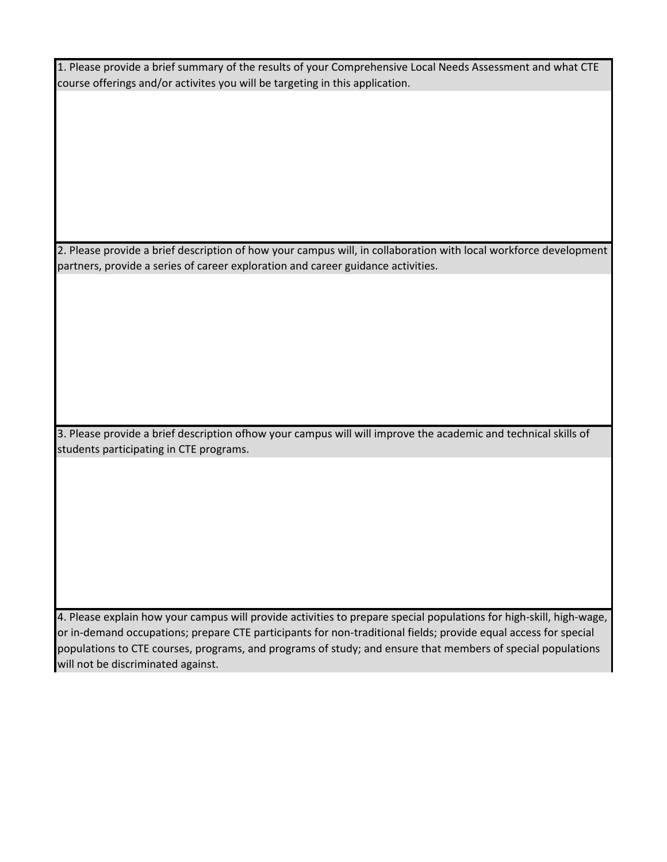1. Please provide a brief summary of the results of your Comprehensive Local Needs Assessment and what CTE course offerings and/or activites you will be targeting in this application.

2. Please provide a brief description of how your campus will, in collaboration with local workforce development partners, provide a series of career exploration and career guidance activities.

3. Please provide a brief description ofhow your campus will will improve the academic and technical skills of students participating in CTE programs.

4. Please explain how your campus will provide activities to prepare special populations for high-skill, high-wage, or in-demand occupations; prepare CTE participants for non-traditional fields; provide equal access for special populations to CTE courses, programs, and programs of study; and ensure that members of special populations will not be discriminated against.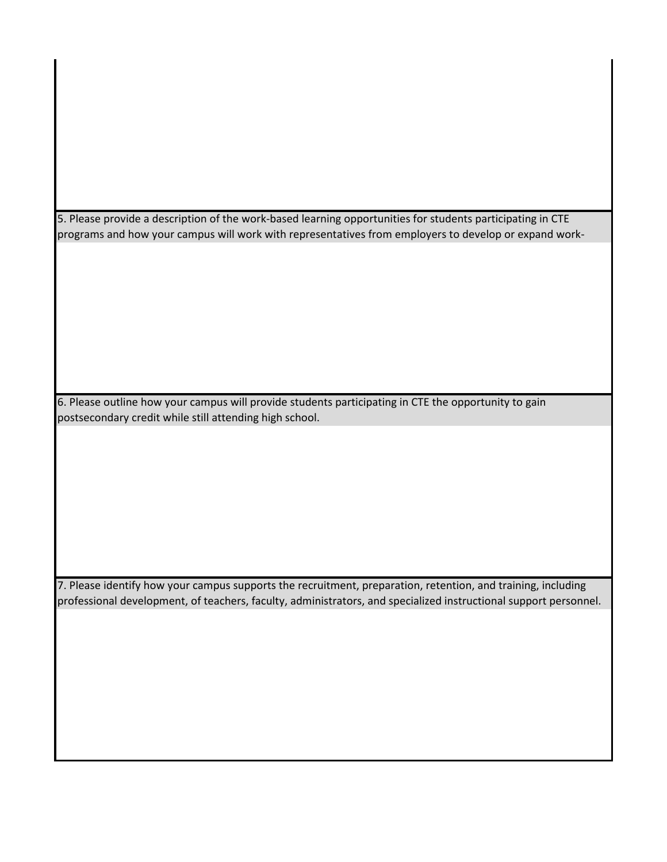5. Please provide a description of the work-based learning opportunities for students participating in CTE programs and how your campus will work with representatives from employers to develop or expand work-

6. Please outline how your campus will provide students participating in CTE the opportunity to gain postsecondary credit while still attending high school.

7. Please identify how your campus supports the recruitment, preparation, retention, and training, including professional development, of teachers, faculty, administrators, and specialized instructional support personnel.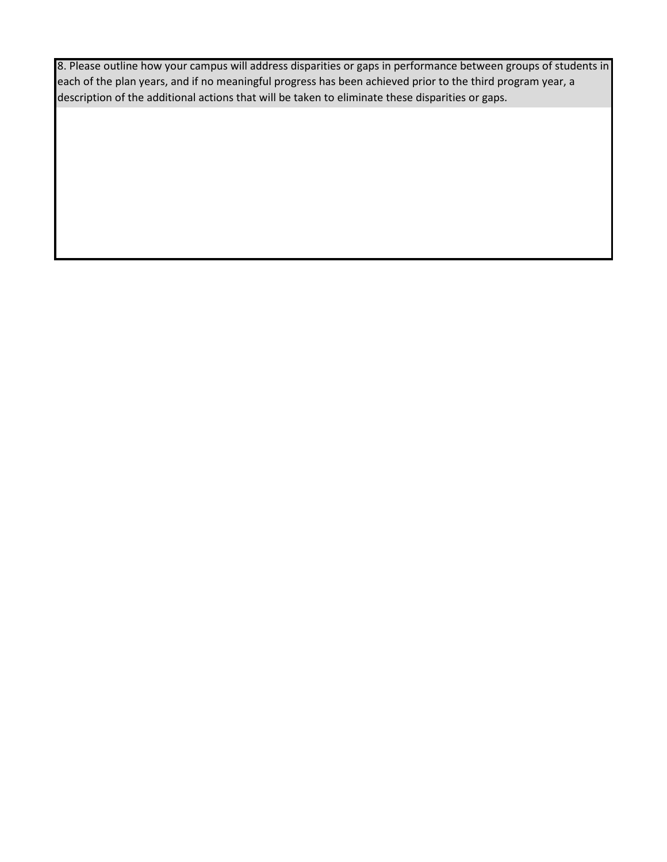8. Please outline how your campus will address disparities or gaps in performance between groups of students in each of the plan years, and if no meaningful progress has been achieved prior to the third program year, a description of the additional actions that will be taken to eliminate these disparities or gaps.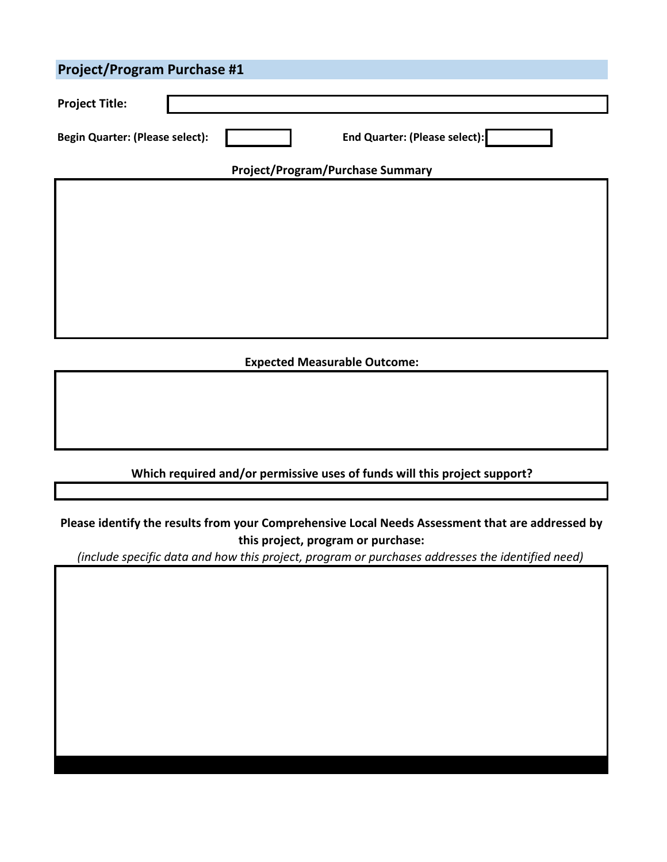| <b>Project/Program Purchase #1</b>     |                                         |                                      |  |  |
|----------------------------------------|-----------------------------------------|--------------------------------------|--|--|
| <b>Project Title:</b>                  |                                         |                                      |  |  |
| <b>Begin Quarter: (Please select):</b> |                                         | <b>End Quarter: (Please select):</b> |  |  |
|                                        | <b>Project/Program/Purchase Summary</b> |                                      |  |  |
|                                        |                                         |                                      |  |  |
|                                        |                                         |                                      |  |  |
|                                        |                                         |                                      |  |  |
|                                        |                                         |                                      |  |  |
|                                        |                                         |                                      |  |  |
|                                        |                                         |                                      |  |  |
| <b>Expected Measurable Outcome:</b>    |                                         |                                      |  |  |

**Please identify the results from your Comprehensive Local Needs Assessment that are addressed by this project, program or purchase:**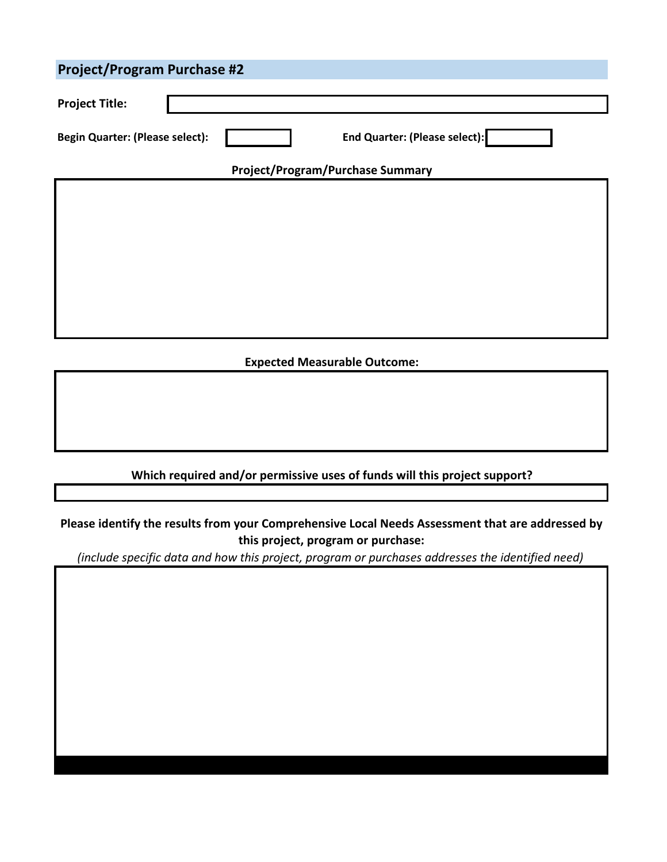| <b>Project/Program Purchase #2</b>     |                                         |                               |  |  |
|----------------------------------------|-----------------------------------------|-------------------------------|--|--|
| <b>Project Title:</b>                  |                                         |                               |  |  |
| <b>Begin Quarter: (Please select):</b> |                                         | End Quarter: (Please select): |  |  |
|                                        | <b>Project/Program/Purchase Summary</b> |                               |  |  |
|                                        |                                         |                               |  |  |
|                                        |                                         |                               |  |  |
|                                        |                                         |                               |  |  |
|                                        |                                         |                               |  |  |
|                                        |                                         |                               |  |  |
|                                        |                                         |                               |  |  |
| <b>Expected Measurable Outcome:</b>    |                                         |                               |  |  |

**Please identify the results from your Comprehensive Local Needs Assessment that are addressed by this project, program or purchase:**

**Which required and/or permissive uses of funds will this project support?**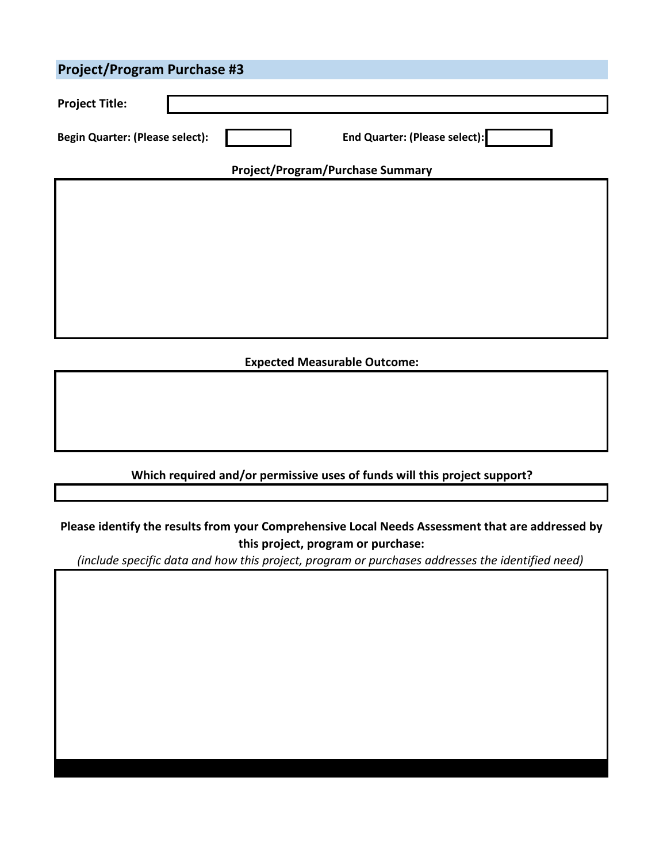| <b>Project/Program Purchase #3</b>     |  |                                         |  |  |
|----------------------------------------|--|-----------------------------------------|--|--|
| <b>Project Title:</b>                  |  |                                         |  |  |
| <b>Begin Quarter: (Please select):</b> |  | <b>End Quarter: (Please select):</b>    |  |  |
|                                        |  | <b>Project/Program/Purchase Summary</b> |  |  |
|                                        |  |                                         |  |  |
|                                        |  |                                         |  |  |
|                                        |  |                                         |  |  |
|                                        |  |                                         |  |  |
|                                        |  |                                         |  |  |
|                                        |  |                                         |  |  |
| <b>Expected Measurable Outcome:</b>    |  |                                         |  |  |

**Please identify the results from your Comprehensive Local Needs Assessment that are addressed by this project, program or purchase:**

**Which required and/or permissive uses of funds will this project support?**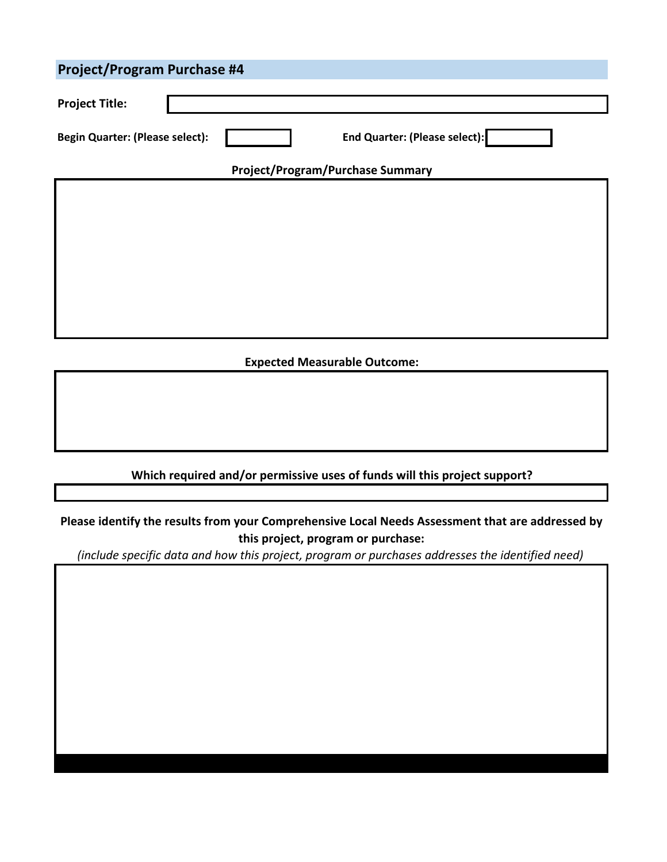| <b>Project/Program Purchase #4</b>     |  |                                         |  |  |
|----------------------------------------|--|-----------------------------------------|--|--|
| <b>Project Title:</b>                  |  |                                         |  |  |
| <b>Begin Quarter: (Please select):</b> |  | <b>End Quarter: (Please select):</b>    |  |  |
|                                        |  | <b>Project/Program/Purchase Summary</b> |  |  |
|                                        |  |                                         |  |  |
|                                        |  |                                         |  |  |
|                                        |  |                                         |  |  |
|                                        |  |                                         |  |  |
|                                        |  |                                         |  |  |
|                                        |  |                                         |  |  |
| <b>Expected Measurable Outcome:</b>    |  |                                         |  |  |

# **Please identify the results from your Comprehensive Local Needs Assessment that are addressed by**

**Which required and/or permissive uses of funds will this project support?**

**this project, program or purchase:**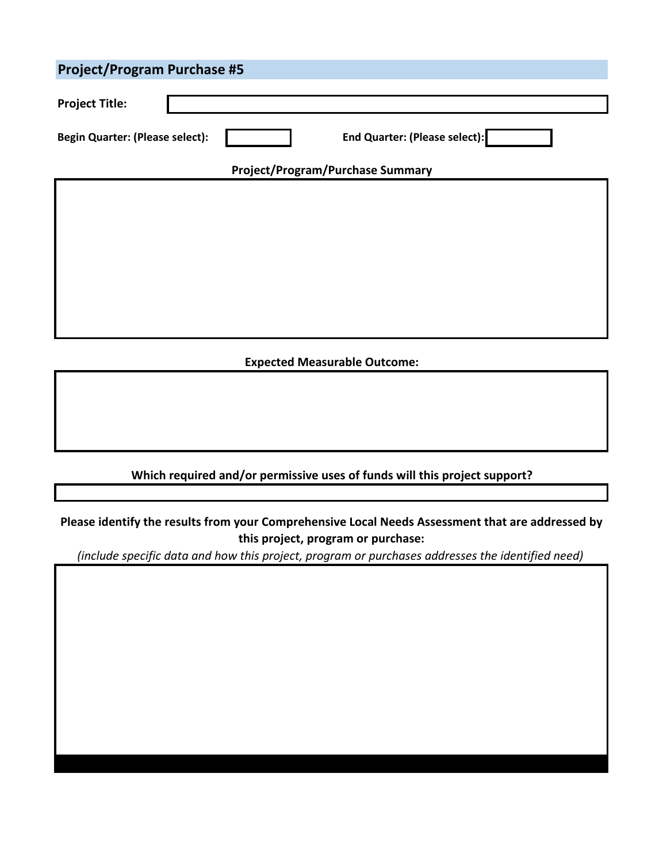| <b>Project/Program Purchase #5</b>     |  |                                         |  |  |
|----------------------------------------|--|-----------------------------------------|--|--|
| <b>Project Title:</b>                  |  |                                         |  |  |
| <b>Begin Quarter: (Please select):</b> |  | <b>End Quarter: (Please select):</b>    |  |  |
|                                        |  | <b>Project/Program/Purchase Summary</b> |  |  |
|                                        |  |                                         |  |  |
|                                        |  |                                         |  |  |
|                                        |  |                                         |  |  |
|                                        |  |                                         |  |  |
|                                        |  |                                         |  |  |
|                                        |  |                                         |  |  |
| <b>Expected Measurable Outcome:</b>    |  |                                         |  |  |

# **Please identify the results from your Comprehensive Local Needs Assessment that are addressed by**

**Which required and/or permissive uses of funds will this project support?**

**this project, program or purchase:**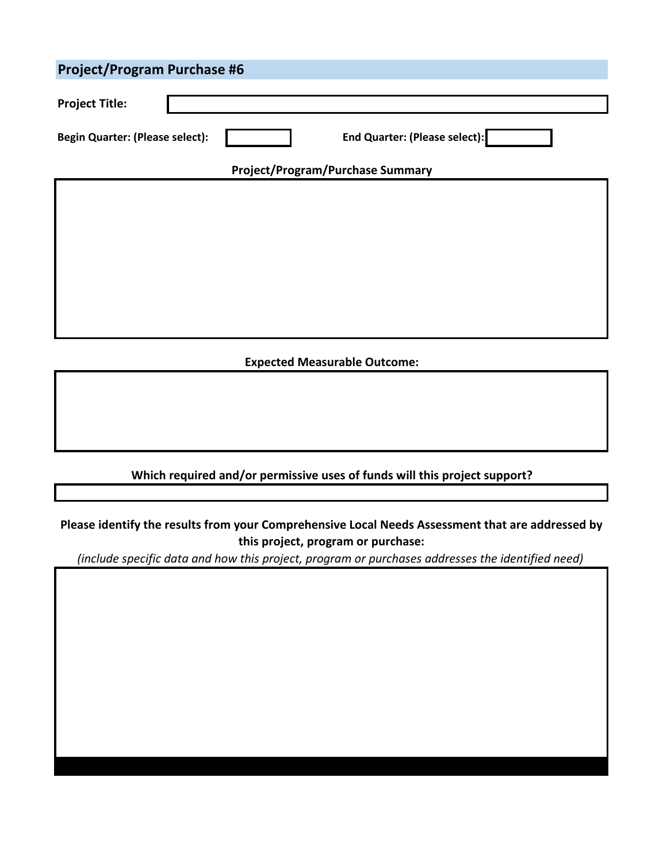| <b>Project/Program Purchase #6</b>     |                                         |                                      |  |  |
|----------------------------------------|-----------------------------------------|--------------------------------------|--|--|
| <b>Project Title:</b>                  |                                         |                                      |  |  |
| <b>Begin Quarter: (Please select):</b> |                                         | <b>End Quarter: (Please select):</b> |  |  |
|                                        | <b>Project/Program/Purchase Summary</b> |                                      |  |  |
|                                        |                                         |                                      |  |  |
|                                        |                                         |                                      |  |  |
|                                        |                                         |                                      |  |  |
|                                        |                                         |                                      |  |  |
|                                        |                                         |                                      |  |  |
|                                        |                                         |                                      |  |  |
| <b>Expected Measurable Outcome:</b>    |                                         |                                      |  |  |

**Please identify the results from your Comprehensive Local Needs Assessment that are addressed by this project, program or purchase:**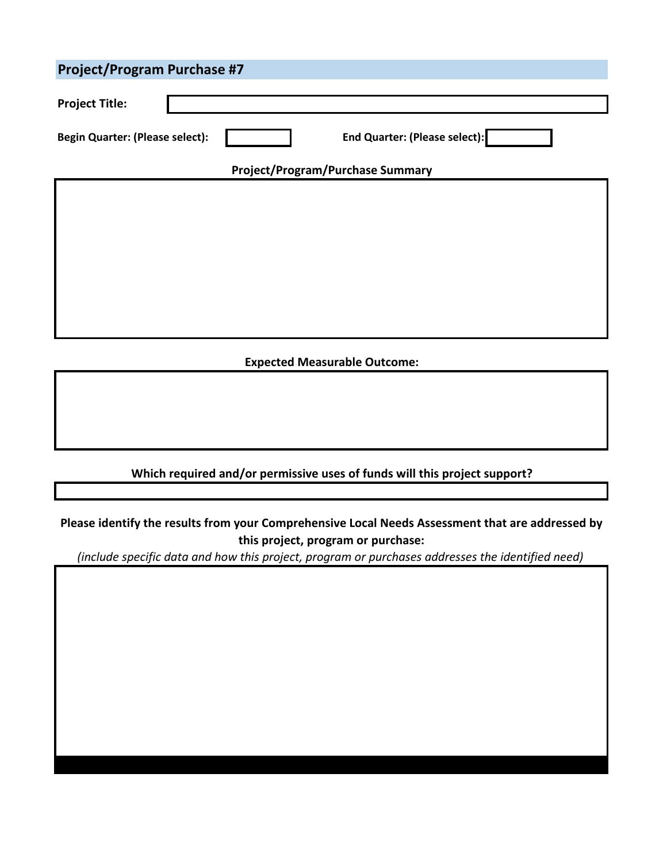| <b>Project/Program Purchase #7</b>     |                                         |                                      |  |  |
|----------------------------------------|-----------------------------------------|--------------------------------------|--|--|
| <b>Project Title:</b>                  |                                         |                                      |  |  |
| <b>Begin Quarter: (Please select):</b> |                                         | <b>End Quarter: (Please select):</b> |  |  |
|                                        | <b>Project/Program/Purchase Summary</b> |                                      |  |  |
|                                        |                                         |                                      |  |  |
|                                        |                                         |                                      |  |  |
|                                        |                                         |                                      |  |  |
|                                        |                                         |                                      |  |  |
|                                        |                                         |                                      |  |  |
|                                        |                                         |                                      |  |  |
| <b>Expected Measurable Outcome:</b>    |                                         |                                      |  |  |

**Please identify the results from your Comprehensive Local Needs Assessment that are addressed by this project, program or purchase:**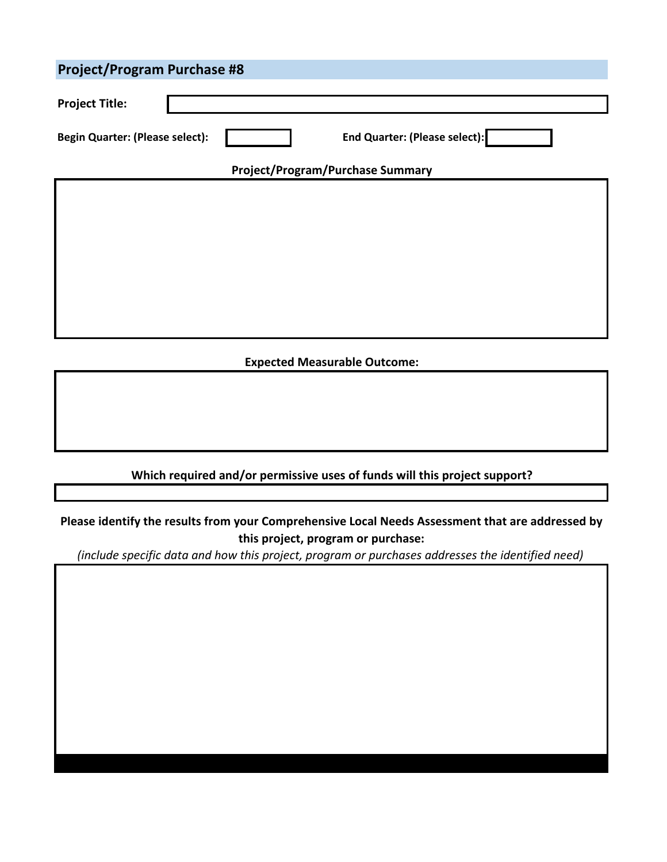| <b>Project/Program Purchase #8</b>                                      |  |  |  |  |  |
|-------------------------------------------------------------------------|--|--|--|--|--|
| <b>Project Title:</b>                                                   |  |  |  |  |  |
| End Quarter: (Please select):<br><b>Begin Quarter: (Please select):</b> |  |  |  |  |  |
| <b>Project/Program/Purchase Summary</b>                                 |  |  |  |  |  |
|                                                                         |  |  |  |  |  |
|                                                                         |  |  |  |  |  |
|                                                                         |  |  |  |  |  |
|                                                                         |  |  |  |  |  |
|                                                                         |  |  |  |  |  |
|                                                                         |  |  |  |  |  |
|                                                                         |  |  |  |  |  |
| Equipodd Macedonaldo Artico                                             |  |  |  |  |  |

# **Expected Measurable Outcome:**

#### **Which required and/or permissive uses of funds will this project support?**

**Please identify the results from your Comprehensive Local Needs Assessment that are addressed by this project, program or purchase:**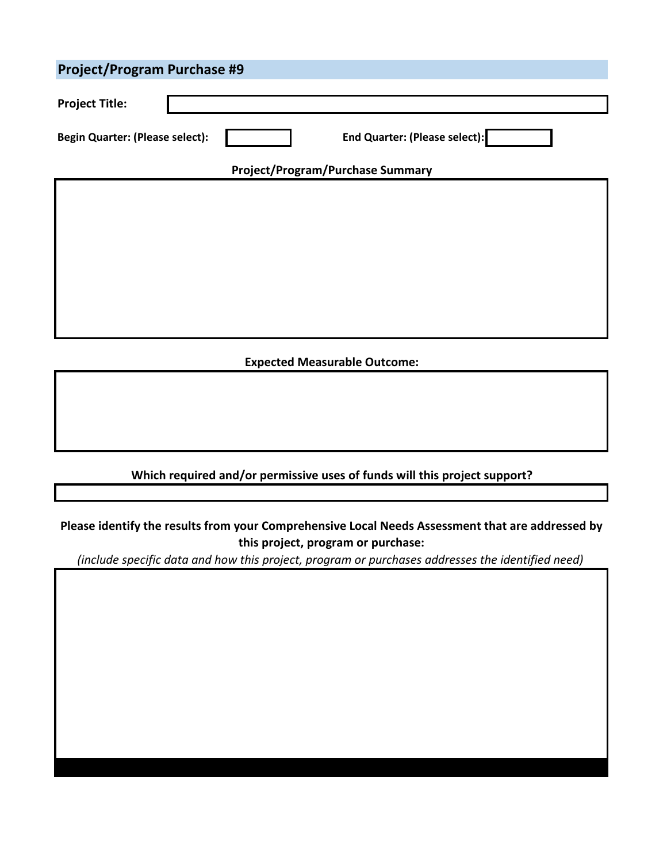| <b>Project/Program Purchase #9</b>     |                                         |                                      |  |  |
|----------------------------------------|-----------------------------------------|--------------------------------------|--|--|
| <b>Project Title:</b>                  |                                         |                                      |  |  |
| <b>Begin Quarter: (Please select):</b> |                                         | <b>End Quarter: (Please select):</b> |  |  |
|                                        | <b>Project/Program/Purchase Summary</b> |                                      |  |  |
|                                        |                                         |                                      |  |  |
|                                        |                                         |                                      |  |  |
|                                        |                                         |                                      |  |  |
|                                        |                                         |                                      |  |  |
|                                        |                                         |                                      |  |  |
|                                        |                                         |                                      |  |  |
| <b>Expected Measurable Outcome:</b>    |                                         |                                      |  |  |

**Please identify the results from your Comprehensive Local Needs Assessment that are addressed by this project, program or purchase:**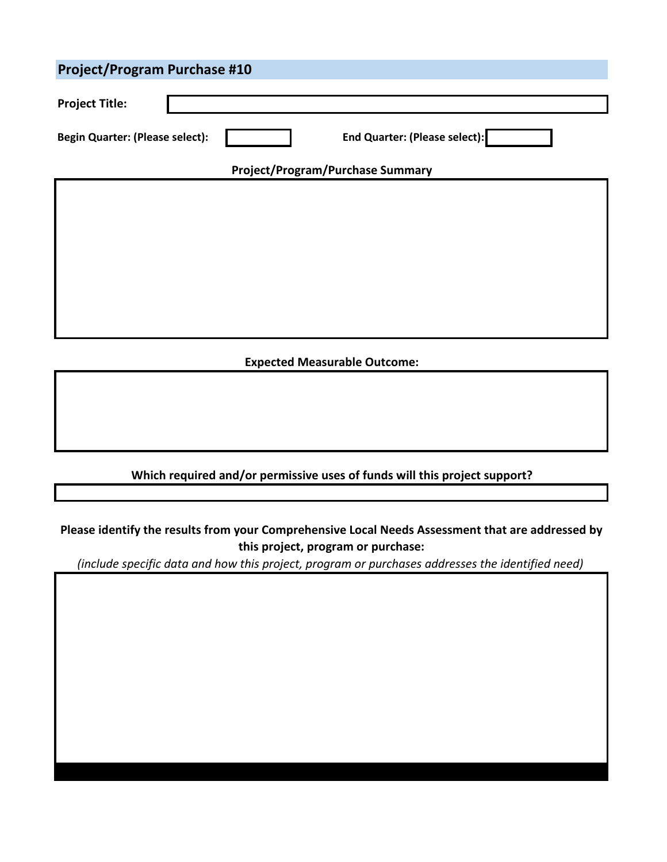| <b>Project/Program Purchase #10</b>                                            |  |  |  |  |
|--------------------------------------------------------------------------------|--|--|--|--|
| <b>Project Title:</b>                                                          |  |  |  |  |
| <b>End Quarter: (Please select):</b><br><b>Begin Quarter: (Please select):</b> |  |  |  |  |
| <b>Project/Program/Purchase Summary</b>                                        |  |  |  |  |
|                                                                                |  |  |  |  |
|                                                                                |  |  |  |  |
|                                                                                |  |  |  |  |
|                                                                                |  |  |  |  |
|                                                                                |  |  |  |  |
|                                                                                |  |  |  |  |
| <b>Expected Measurable Outcome:</b>                                            |  |  |  |  |

**Please identify the results from your Comprehensive Local Needs Assessment that are addressed by this project, program or purchase:**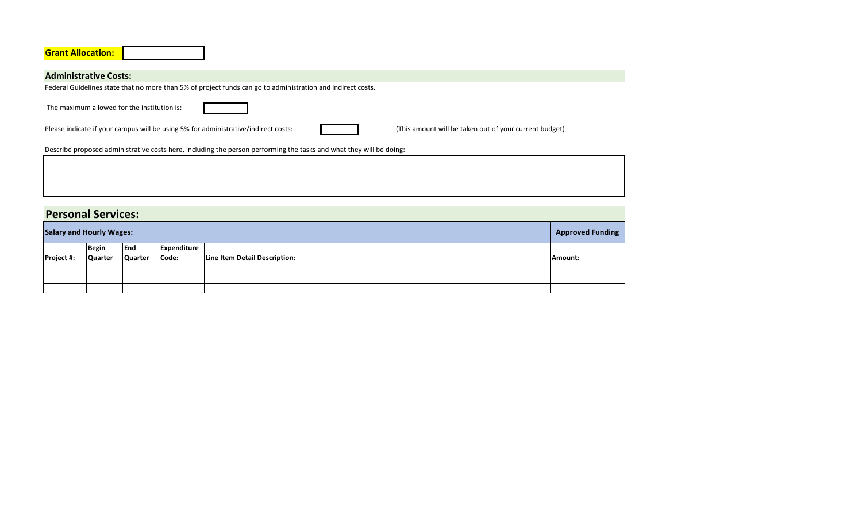| <b>Grant Allocation:</b>                                                                                                                                                                    |
|---------------------------------------------------------------------------------------------------------------------------------------------------------------------------------------------|
|                                                                                                                                                                                             |
| <b>Administrative Costs:</b>                                                                                                                                                                |
| Federal Guidelines state that no more than 5% of project funds can go to administration and indirect costs.                                                                                 |
| The maximum allowed for the institution is:<br>Please indicate if your campus will be using 5% for administrative/indirect costs:<br>(This amount will be taken out of your current budget) |
| Describe proposed administrative costs here, including the person performing the tasks and what they will be doing:                                                                         |
|                                                                                                                                                                                             |

# **Personal Services:**

| <b>Salary and Hourly Wages:</b> |                  |                       |                      |                               | <b>Approved Funding</b> |
|---------------------------------|------------------|-----------------------|----------------------|-------------------------------|-------------------------|
| Project #:                      | Begin<br>Quarter | End<br><b>Quarter</b> | Expenditure<br>Code: | Line Item Detail Description: | Amount:                 |
|                                 |                  |                       |                      |                               |                         |
|                                 |                  |                       |                      |                               |                         |
|                                 |                  |                       |                      |                               |                         |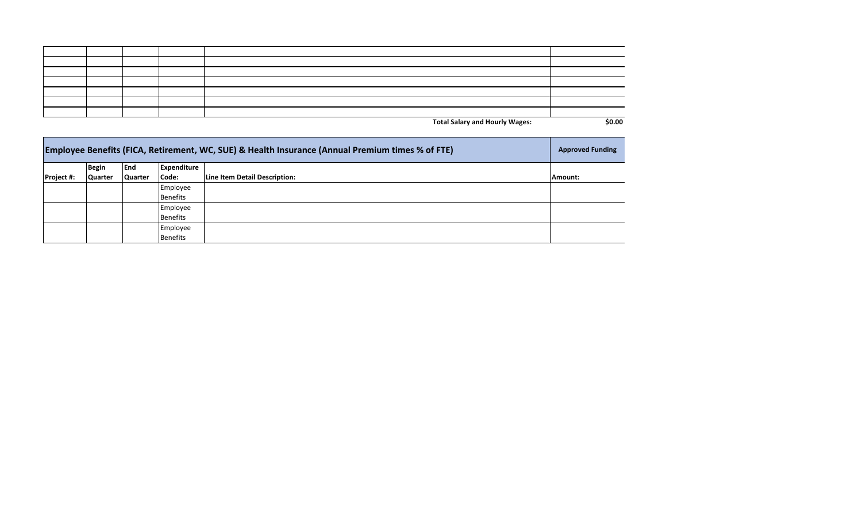|  |  | <b>Total Salary and Hourly Wages:</b> | \$0.00 |
|--|--|---------------------------------------|--------|

| <b>Employee Benefits (FICA, Retirement, WC, SUE) &amp; Health Insurance (Annual Premium times % of FTE)</b> |         |                |             |                               |         |  |
|-------------------------------------------------------------------------------------------------------------|---------|----------------|-------------|-------------------------------|---------|--|
|                                                                                                             | Begin   | lEnd           | Expenditure |                               |         |  |
| Project #:                                                                                                  | Quarter | <b>Quarter</b> | Code:       | Line Item Detail Description: | Amount: |  |
|                                                                                                             |         |                | Employee    |                               |         |  |
|                                                                                                             |         |                | Benefits    |                               |         |  |
|                                                                                                             |         |                | Employee    |                               |         |  |
|                                                                                                             |         |                | Benefits    |                               |         |  |
|                                                                                                             |         |                | Employee    |                               |         |  |
|                                                                                                             |         |                | Benefits    |                               |         |  |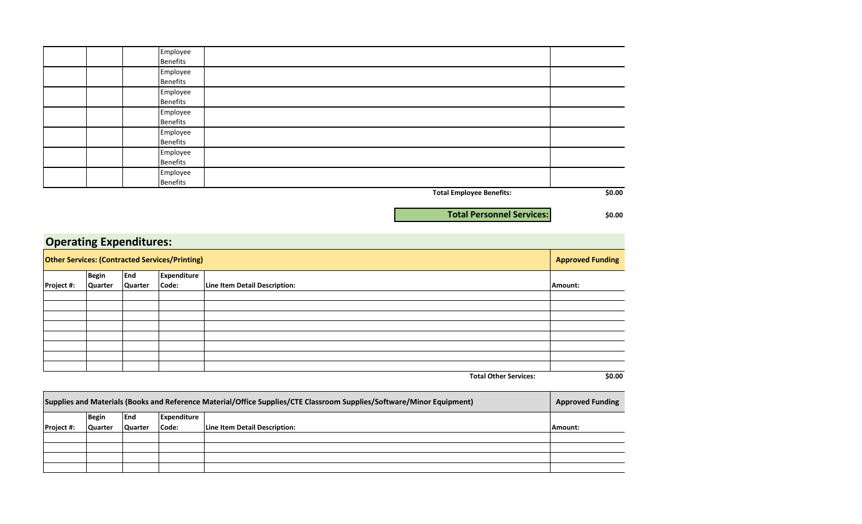|          | <b>Total Employee Benefits:</b> | \$0.00 |
|----------|---------------------------------|--------|
| Benefits |                                 |        |
| Employee |                                 |        |
| Benefits |                                 |        |
| Employee |                                 |        |
| Benefits |                                 |        |
| Employee |                                 |        |
| Benefits |                                 |        |
| Employee |                                 |        |
| Benefits |                                 |        |
| Employee |                                 |        |
| Benefits |                                 |        |
| Employee |                                 |        |
| Benefits |                                 |        |
| Employee |                                 |        |

**\$0.00**

**Total Personnel Services:**

|                                                       | <b>Operating Expenditures:</b> |         |                    |                               |         |  |  |  |
|-------------------------------------------------------|--------------------------------|---------|--------------------|-------------------------------|---------|--|--|--|
| <b>Other Services: (Contracted Services/Printing)</b> |                                |         |                    |                               |         |  |  |  |
|                                                       | <b>Begin</b>                   | End     | <b>Expenditure</b> |                               |         |  |  |  |
| Project #:                                            | Quarter                        | Quarter | Code:              | Line Item Detail Description: | Amount: |  |  |  |
|                                                       |                                |         |                    |                               |         |  |  |  |
|                                                       |                                |         |                    |                               |         |  |  |  |
|                                                       |                                |         |                    |                               |         |  |  |  |
|                                                       |                                |         |                    |                               |         |  |  |  |
|                                                       |                                |         |                    |                               |         |  |  |  |
|                                                       |                                |         |                    |                               |         |  |  |  |
|                                                       |                                |         |                    |                               |         |  |  |  |
|                                                       |                                |         |                    |                               |         |  |  |  |
|                                                       |                                |         |                    | <b>Total Other Services:</b>  | \$0.00  |  |  |  |

| Supplies and Materials (Books and Reference Material/Office Supplies/CTE Classroom Supplies/Software/Minor Equipment) |         |                |             |                               |         |
|-----------------------------------------------------------------------------------------------------------------------|---------|----------------|-------------|-------------------------------|---------|
|                                                                                                                       | Begin   | lEnd           | Expenditure |                               |         |
| Project #:                                                                                                            | Quarter | <b>Quarter</b> | Code:       | Line Item Detail Description: | Amount: |
|                                                                                                                       |         |                |             |                               |         |
|                                                                                                                       |         |                |             |                               |         |
|                                                                                                                       |         |                |             |                               |         |
|                                                                                                                       |         |                |             |                               |         |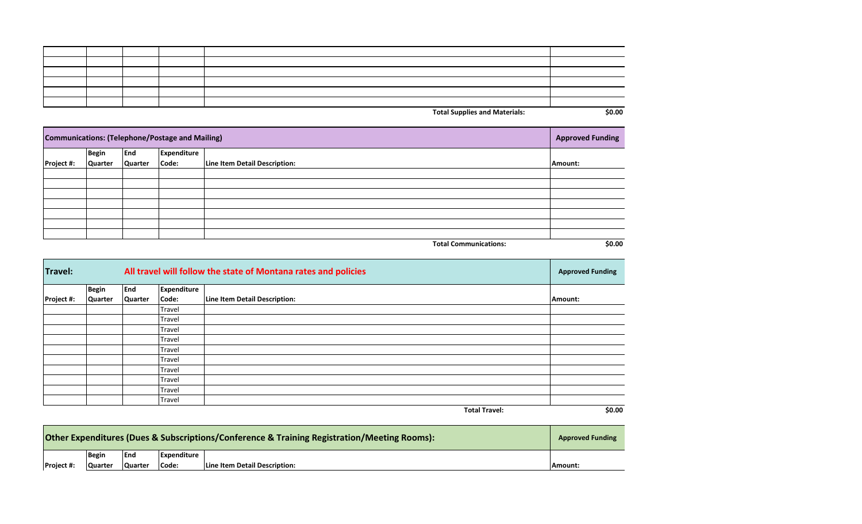| An an |  |  |
|-------|--|--|

**Total Supplies and Materials: All 2008 \$0.00** 

| Communications: (Telephone/Postage and Mailing)<br><b>Approved Funding</b> |                |                |                    |                               |         |
|----------------------------------------------------------------------------|----------------|----------------|--------------------|-------------------------------|---------|
|                                                                            | <b>Begin</b>   | End            | <b>Expenditure</b> |                               |         |
| <b>Project #:</b>                                                          | <b>Quarter</b> | <b>Quarter</b> | Code:              | Line Item Detail Description: | Amount: |
|                                                                            |                |                |                    |                               |         |
|                                                                            |                |                |                    |                               |         |
|                                                                            |                |                |                    |                               |         |
|                                                                            |                |                |                    |                               |         |
|                                                                            |                |                |                    |                               |         |
|                                                                            |                |                |                    |                               |         |
|                                                                            |                |                |                    |                               |         |
|                                                                            |                |                |                    | <b>Total Communications:</b>  | \$0.00  |

| <b>Travel:</b> |                | All travel will follow the state of Montana rates and policies |             |                               |         |  |
|----------------|----------------|----------------------------------------------------------------|-------------|-------------------------------|---------|--|
|                | <b>Begin</b>   | <b>End</b>                                                     | Expenditure |                               |         |  |
| Project #:     | <b>Quarter</b> | Quarter                                                        | Code:       | Line Item Detail Description: | Amount: |  |
|                |                |                                                                | Travel      |                               |         |  |
|                |                |                                                                | Travel      |                               |         |  |
|                |                |                                                                | Travel      |                               |         |  |
|                |                |                                                                | Travel      |                               |         |  |
|                |                |                                                                | Travel      |                               |         |  |
|                |                |                                                                | Travel      |                               |         |  |
|                |                |                                                                | Travel      |                               |         |  |
|                |                |                                                                | Travel      |                               |         |  |
|                |                |                                                                | Travel      |                               |         |  |
|                |                |                                                                | Travel      |                               |         |  |
|                |                |                                                                |             | <b>Total Travel:</b>          | \$0.00  |  |

| Other Expenditures (Dues & Subscriptions/Conference & Training Registration/Meeting Rooms):<br><b>Approved Funding</b> |                |                |             |                               |         |
|------------------------------------------------------------------------------------------------------------------------|----------------|----------------|-------------|-------------------------------|---------|
|                                                                                                                        | <b>Begin</b>   | <b>IEnd</b>    | Expenditure |                               |         |
| <b>Project #:</b>                                                                                                      | <b>Quarter</b> | <b>Quarter</b> | Code:       | Line Item Detail Description: | Amount: |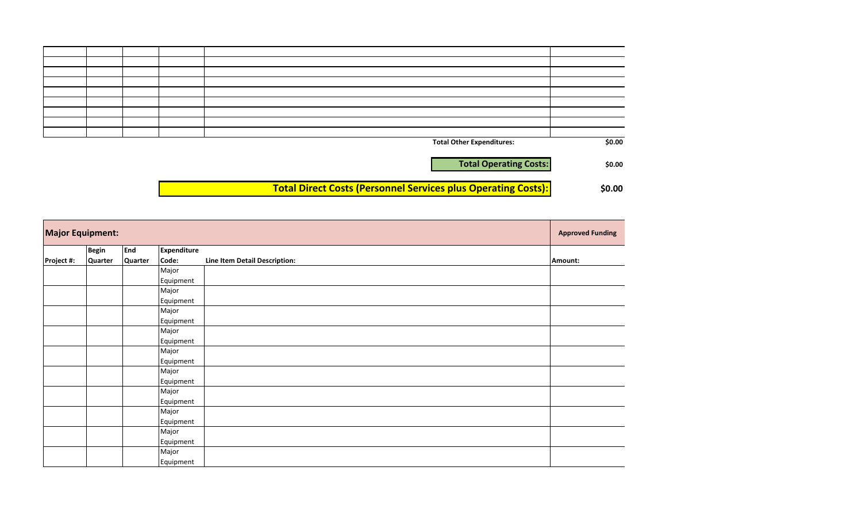| \$0.00 | <b>Total Other Expenditures:</b>                                     |  |  |
|--------|----------------------------------------------------------------------|--|--|
|        |                                                                      |  |  |
| \$0.00 | <b>Total Operating Costs:</b>                                        |  |  |
|        |                                                                      |  |  |
|        | <b>Total Direct Costs (Personnel Services plus Operating Costs):</b> |  |  |
| \$0.00 |                                                                      |  |  |

| <b>Major Equipment:</b> |              |            |                    |                               |         |
|-------------------------|--------------|------------|--------------------|-------------------------------|---------|
|                         | <b>Begin</b> | <b>End</b> | <b>Expenditure</b> |                               |         |
| Project #:              | Quarter      | Quarter    | Code:              | Line Item Detail Description: | Amount: |
|                         |              |            | Major              |                               |         |
|                         |              |            | Equipment          |                               |         |
|                         |              |            | Major              |                               |         |
|                         |              |            | Equipment          |                               |         |
|                         |              |            | Major              |                               |         |
|                         |              |            | Equipment          |                               |         |
|                         |              |            | Major              |                               |         |
|                         |              |            | Equipment          |                               |         |
|                         |              |            | Major              |                               |         |
|                         |              |            | Equipment          |                               |         |
|                         |              |            | Major              |                               |         |
|                         |              |            | Equipment          |                               |         |
|                         |              |            | Major              |                               |         |
|                         |              |            | Equipment          |                               |         |
|                         |              |            | Major              |                               |         |
|                         |              |            | Equipment          |                               |         |
|                         |              |            | Major              |                               |         |
|                         |              |            | Equipment          |                               |         |
|                         |              |            | Major              |                               |         |
|                         |              |            | Equipment          |                               |         |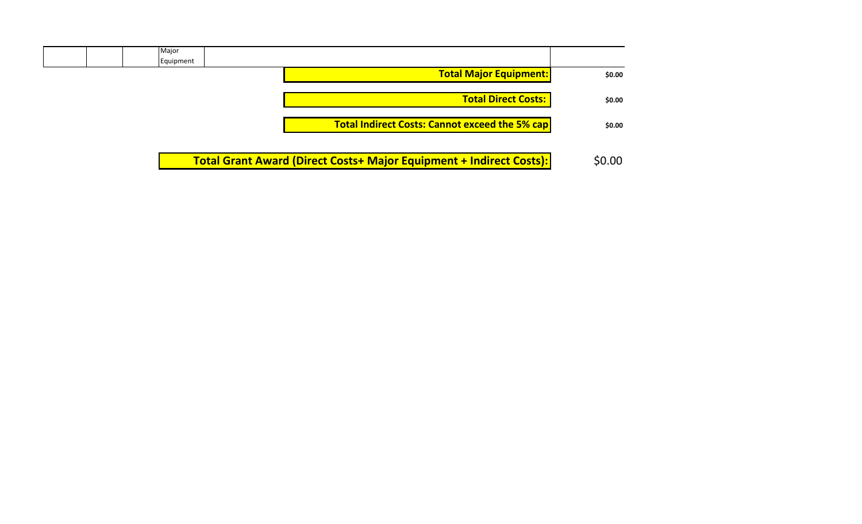| Major                                                                      |        |
|----------------------------------------------------------------------------|--------|
| Equipment                                                                  |        |
| <b>Total Major Equipment:</b>                                              | \$0.00 |
| <b>Total Direct Costs:</b>                                                 | \$0.00 |
| <b>Total Indirect Costs: Cannot exceed the 5% cap</b>                      | \$0.00 |
| <b>Total Grant Award (Direct Costs+ Major Equipment + Indirect Costs):</b> | \$0.00 |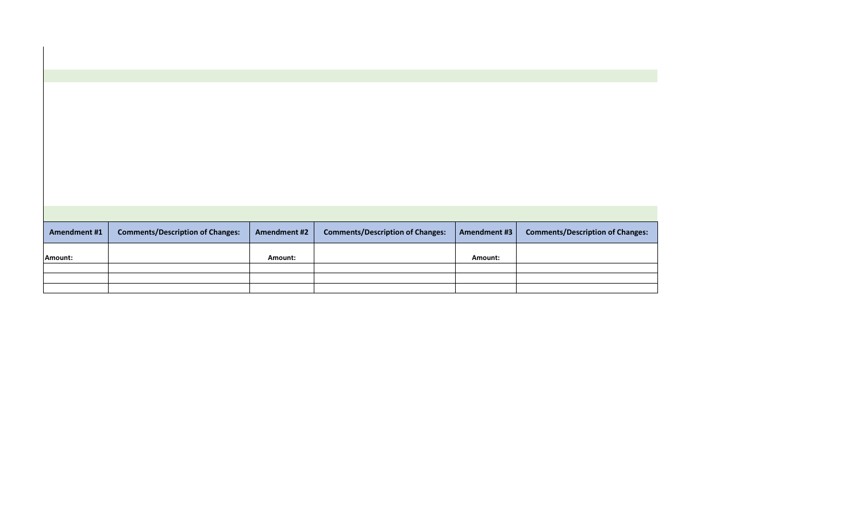| <b>Amendment #1</b> | <b>Comments/Description of Changes:</b> | <b>Amendment #2</b> | <b>Comments/Description of Changes:</b> | <b>Amendment #3</b> | <b>Comments/Description of Changes:</b> |  |
|---------------------|-----------------------------------------|---------------------|-----------------------------------------|---------------------|-----------------------------------------|--|
| Amount:             |                                         | Amount:             |                                         | Amount:             |                                         |  |
|                     |                                         |                     |                                         |                     |                                         |  |
|                     |                                         |                     |                                         |                     |                                         |  |
|                     |                                         |                     |                                         |                     |                                         |  |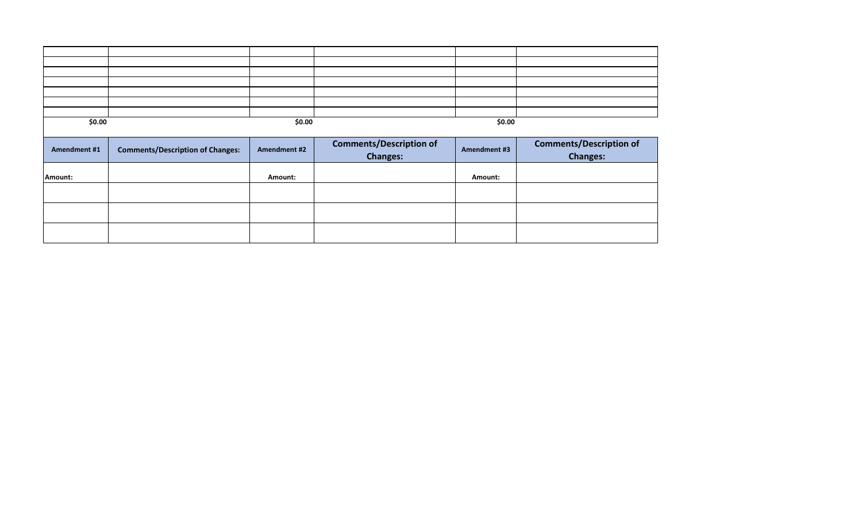| \$0.00              |                                         | \$0.00       |                                                   | \$0.00              |                                                   |  |
|---------------------|-----------------------------------------|--------------|---------------------------------------------------|---------------------|---------------------------------------------------|--|
|                     |                                         |              |                                                   |                     |                                                   |  |
| <b>Amendment #1</b> | <b>Comments/Description of Changes:</b> | Amendment #2 | <b>Comments/Description of</b><br><b>Changes:</b> | <b>Amendment #3</b> | <b>Comments/Description of</b><br><b>Changes:</b> |  |
| Amount:             |                                         | Amount:      |                                                   | Amount:             |                                                   |  |
|                     |                                         |              |                                                   |                     |                                                   |  |
|                     |                                         |              |                                                   |                     |                                                   |  |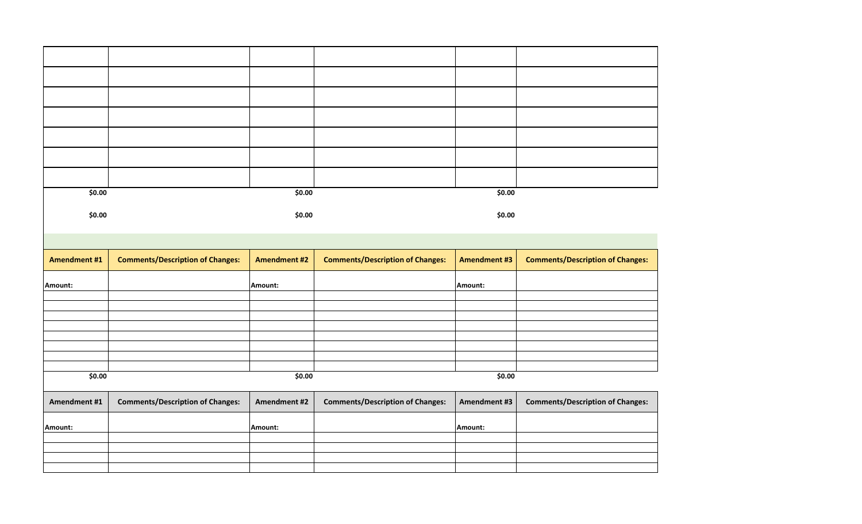| \$0.00              |                                         | \$0.00              |                                         | \$0.00              |                                         |
|---------------------|-----------------------------------------|---------------------|-----------------------------------------|---------------------|-----------------------------------------|
| \$0.00              |                                         | \$0.00              |                                         | \$0.00              |                                         |
|                     |                                         |                     |                                         |                     |                                         |
|                     |                                         |                     |                                         |                     |                                         |
| <b>Amendment #1</b> | <b>Comments/Description of Changes:</b> | <b>Amendment #2</b> | <b>Comments/Description of Changes:</b> | <b>Amendment #3</b> | <b>Comments/Description of Changes:</b> |
| Amount:             |                                         | Amount:             |                                         | Amount:             |                                         |
|                     |                                         |                     |                                         |                     |                                         |
|                     |                                         |                     |                                         |                     |                                         |
|                     |                                         |                     |                                         |                     |                                         |
|                     |                                         |                     |                                         |                     |                                         |
|                     |                                         |                     |                                         |                     |                                         |
| \$0.00              |                                         | \$0.00              |                                         | \$0.00              |                                         |
| Amendment #1        | <b>Comments/Description of Changes:</b> | <b>Amendment #2</b> | <b>Comments/Description of Changes:</b> | Amendment #3        | <b>Comments/Description of Changes:</b> |
| Amount:             |                                         | Amount:             |                                         | Amount:             |                                         |
|                     |                                         |                     |                                         |                     |                                         |
|                     |                                         |                     |                                         |                     |                                         |
|                     |                                         |                     |                                         |                     |                                         |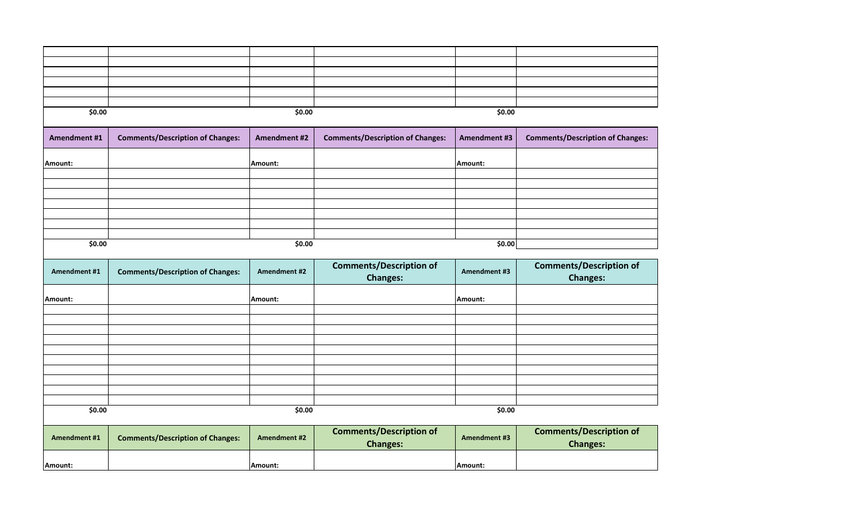| \$0.00              |                                         | \$0.00              |                                                   | \$0.00              |                                                   |  |
|---------------------|-----------------------------------------|---------------------|---------------------------------------------------|---------------------|---------------------------------------------------|--|
|                     |                                         |                     |                                                   |                     |                                                   |  |
| Amendment #1        | <b>Comments/Description of Changes:</b> | <b>Amendment #2</b> | <b>Comments/Description of Changes:</b>           | <b>Amendment #3</b> | <b>Comments/Description of Changes:</b>           |  |
| Amount:             |                                         | Amount:             |                                                   | Amount:             |                                                   |  |
|                     |                                         |                     |                                                   |                     |                                                   |  |
|                     |                                         |                     |                                                   |                     |                                                   |  |
|                     |                                         |                     |                                                   |                     |                                                   |  |
|                     |                                         |                     |                                                   |                     |                                                   |  |
|                     |                                         |                     |                                                   |                     |                                                   |  |
|                     |                                         |                     |                                                   |                     |                                                   |  |
|                     |                                         |                     |                                                   |                     |                                                   |  |
| \$0.00              |                                         | \$0.00              |                                                   |                     | \$0.00                                            |  |
| Amendment #1        | <b>Comments/Description of Changes:</b> | Amendment #2        | <b>Comments/Description of</b><br><b>Changes:</b> | Amendment #3        | <b>Comments/Description of</b><br><b>Changes:</b> |  |
| Amount:             |                                         | Amount:             |                                                   | Amount:             |                                                   |  |
|                     |                                         |                     |                                                   |                     |                                                   |  |
|                     |                                         |                     |                                                   |                     |                                                   |  |
|                     |                                         |                     |                                                   |                     |                                                   |  |
|                     |                                         |                     |                                                   |                     |                                                   |  |
|                     |                                         |                     |                                                   |                     |                                                   |  |
|                     |                                         |                     |                                                   |                     |                                                   |  |
|                     |                                         |                     |                                                   |                     |                                                   |  |
|                     |                                         |                     |                                                   |                     |                                                   |  |
|                     |                                         |                     |                                                   |                     |                                                   |  |
|                     |                                         |                     |                                                   |                     |                                                   |  |
| \$0.00              |                                         |                     | \$0.00                                            | \$0.00              |                                                   |  |
| <b>Amendment #1</b> | <b>Comments/Description of Changes:</b> | <b>Amendment #2</b> | <b>Comments/Description of</b><br><b>Changes:</b> | <b>Amendment #3</b> | <b>Comments/Description of</b><br><b>Changes:</b> |  |
| Amount:             |                                         | Amount:             |                                                   | Amount:             |                                                   |  |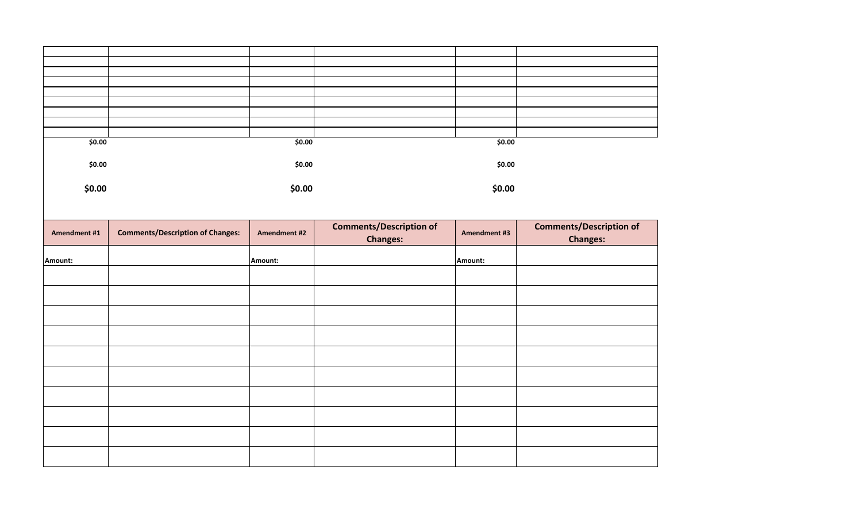| \$0.00       |                                         | \$0.00       |                                | \$0.00       |                                |
|--------------|-----------------------------------------|--------------|--------------------------------|--------------|--------------------------------|
| \$0.00       |                                         | \$0.00       |                                | \$0.00       |                                |
|              |                                         |              |                                |              |                                |
| \$0.00       |                                         | \$0.00       |                                | \$0.00       |                                |
|              |                                         |              |                                |              |                                |
|              |                                         |              |                                |              |                                |
|              |                                         |              | <b>Comments/Description of</b> |              | <b>Comments/Description of</b> |
| Amendment #1 | <b>Comments/Description of Changes:</b> | Amendment #2 |                                | Amendment #3 |                                |
|              |                                         |              | <b>Changes:</b>                |              | <b>Changes:</b>                |
| Amount:      |                                         | Amount:      |                                | Amount:      |                                |
|              |                                         |              |                                |              |                                |
|              |                                         |              |                                |              |                                |
|              |                                         |              |                                |              |                                |
|              |                                         |              |                                |              |                                |
|              |                                         |              |                                |              |                                |
|              |                                         |              |                                |              |                                |
|              |                                         |              |                                |              |                                |
|              |                                         |              |                                |              |                                |
|              |                                         |              |                                |              |                                |
|              |                                         |              |                                |              |                                |
|              |                                         |              |                                |              |                                |
|              |                                         |              |                                |              |                                |
|              |                                         |              |                                |              |                                |
|              |                                         |              |                                |              |                                |
|              |                                         |              |                                |              |                                |